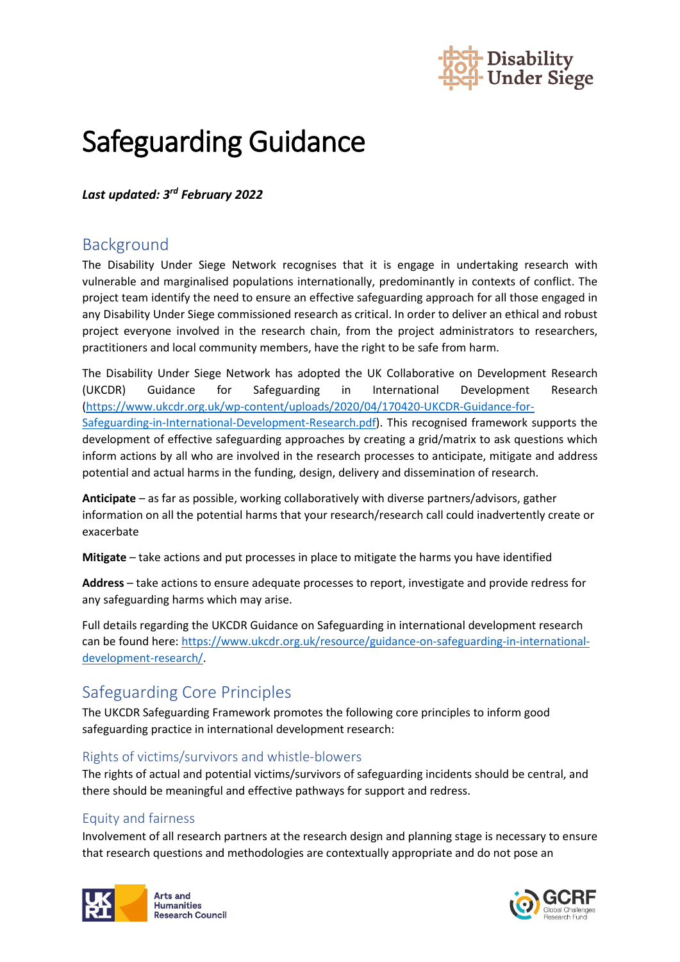

# Safeguarding Guidance

*Last updated: 3rd February 2022*

## Background

The Disability Under Siege Network recognises that it is engage in undertaking research with vulnerable and marginalised populations internationally, predominantly in contexts of conflict. The project team identify the need to ensure an effective safeguarding approach for all those engaged in any Disability Under Siege commissioned research as critical. In order to deliver an ethical and robust project everyone involved in the research chain, from the project administrators to researchers, practitioners and local community members, have the right to be safe from harm.

The Disability Under Siege Network has adopted the UK Collaborative on Development Research (UKCDR) Guidance for Safeguarding in International Development Research [\(https://www.ukcdr.org.uk/wp-content/uploads/2020/04/170420-UKCDR-Guidance-for-](https://www.ukcdr.org.uk/wp-content/uploads/2020/04/170420-UKCDR-Guidance-for-Safeguarding-in-International-Development-Research.pdf)[Safeguarding-in-International-Development-Research.pdf\)](https://www.ukcdr.org.uk/wp-content/uploads/2020/04/170420-UKCDR-Guidance-for-Safeguarding-in-International-Development-Research.pdf). This recognised framework supports the development of effective safeguarding approaches by creating a grid/matrix to ask questions which inform actions by all who are involved in the research processes to anticipate, mitigate and address potential and actual harms in the funding, design, delivery and dissemination of research.

**Anticipate** – as far as possible, working collaboratively with diverse partners/advisors, gather information on all the potential harms that your research/research call could inadvertently create or exacerbate

**Mitigate** – take actions and put processes in place to mitigate the harms you have identified

**Address** – take actions to ensure adequate processes to report, investigate and provide redress for any safeguarding harms which may arise.

Full details regarding the UKCDR Guidance on Safeguarding in international development research can be found here: [https://www.ukcdr.org.uk/resource/guidance-on-safeguarding-in-international](https://www.ukcdr.org.uk/resource/guidance-on-safeguarding-in-international-development-research/)[development-research/.](https://www.ukcdr.org.uk/resource/guidance-on-safeguarding-in-international-development-research/)

## Safeguarding Core Principles

The UKCDR Safeguarding Framework promotes the following core principles to inform good safeguarding practice in international development research:

## Rights of victims/survivors and whistle-blowers

The rights of actual and potential victims/survivors of safeguarding incidents should be central, and there should be meaningful and effective pathways for support and redress.

## Equity and fairness

Involvement of all research partners at the research design and planning stage is necessary to ensure that research questions and methodologies are contextually appropriate and do not pose an



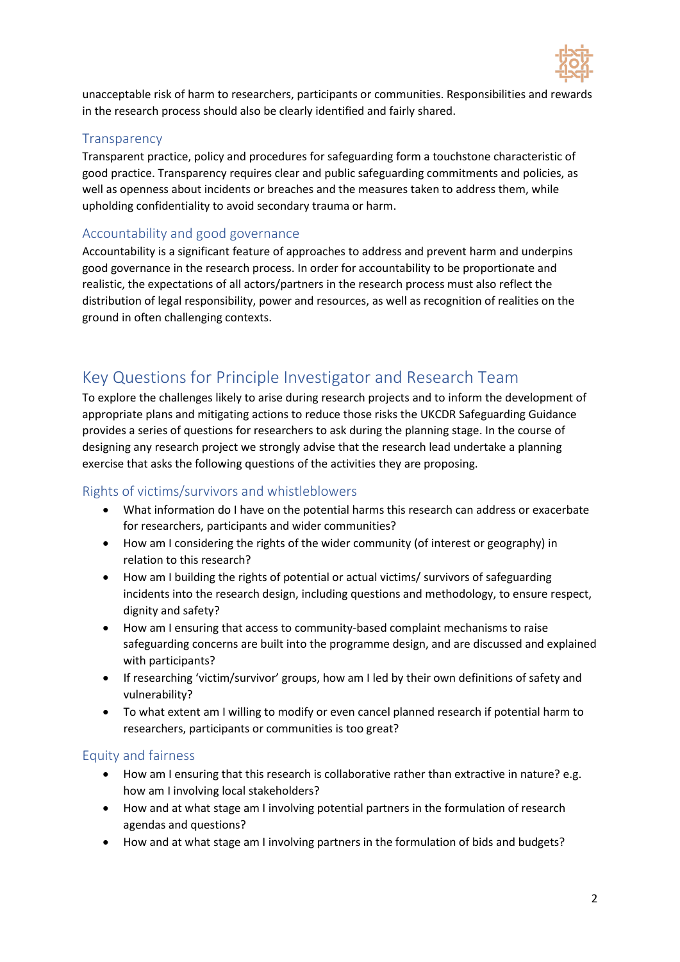

unacceptable risk of harm to researchers, participants or communities. Responsibilities and rewards in the research process should also be clearly identified and fairly shared.

#### **Transparency**

Transparent practice, policy and procedures for safeguarding form a touchstone characteristic of good practice. Transparency requires clear and public safeguarding commitments and policies, as well as openness about incidents or breaches and the measures taken to address them, while upholding confidentiality to avoid secondary trauma or harm.

#### Accountability and good governance

Accountability is a significant feature of approaches to address and prevent harm and underpins good governance in the research process. In order for accountability to be proportionate and realistic, the expectations of all actors/partners in the research process must also reflect the distribution of legal responsibility, power and resources, as well as recognition of realities on the ground in often challenging contexts.

## Key Questions for Principle Investigator and Research Team

To explore the challenges likely to arise during research projects and to inform the development of appropriate plans and mitigating actions to reduce those risks the UKCDR Safeguarding Guidance provides a series of questions for researchers to ask during the planning stage. In the course of designing any research project we strongly advise that the research lead undertake a planning exercise that asks the following questions of the activities they are proposing.

## Rights of victims/survivors and whistleblowers

- What information do I have on the potential harms this research can address or exacerbate for researchers, participants and wider communities?
- How am I considering the rights of the wider community (of interest or geography) in relation to this research?
- How am I building the rights of potential or actual victims/ survivors of safeguarding incidents into the research design, including questions and methodology, to ensure respect, dignity and safety?
- How am I ensuring that access to community-based complaint mechanisms to raise safeguarding concerns are built into the programme design, and are discussed and explained with participants?
- If researching 'victim/survivor' groups, how am I led by their own definitions of safety and vulnerability?
- To what extent am I willing to modify or even cancel planned research if potential harm to researchers, participants or communities is too great?

#### Equity and fairness

- How am I ensuring that this research is collaborative rather than extractive in nature? e.g. how am I involving local stakeholders?
- How and at what stage am I involving potential partners in the formulation of research agendas and questions?
- How and at what stage am I involving partners in the formulation of bids and budgets?